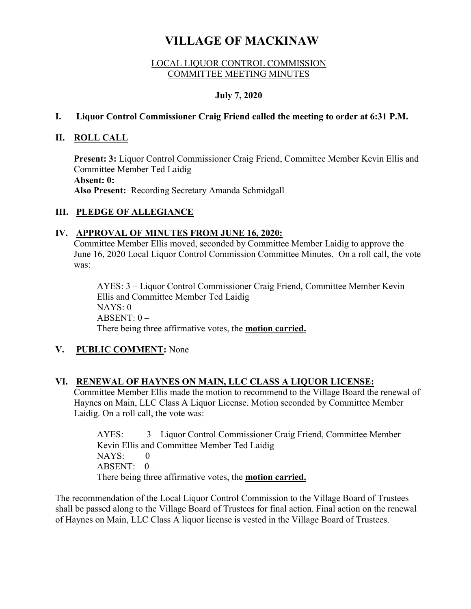# **VILLAGE OF MACKINAW**

#### LOCAL LIQUOR CONTROL COMMISSION COMMITTEE MEETING MINUTES

## **July 7, 2020**

#### **I. Liquor Control Commissioner Craig Friend called the meeting to order at 6:31 P.M.**

### **II. ROLL CALL**

**Present: 3:** Liquor Control Commissioner Craig Friend, Committee Member Kevin Ellis and Committee Member Ted Laidig **Absent: 0: Also Present:** Recording Secretary Amanda Schmidgall

## **III. PLEDGE OF ALLEGIANCE**

#### **IV. APPROVAL OF MINUTES FROM JUNE 16, 2020:**

Committee Member Ellis moved, seconded by Committee Member Laidig to approve the June 16, 2020 Local Liquor Control Commission Committee Minutes. On a roll call, the vote was:

AYES: 3 – Liquor Control Commissioner Craig Friend, Committee Member Kevin Ellis and Committee Member Ted Laidig NAYS: 0  $ABSENT: 0 -$ There being three affirmative votes, the **motion carried.**

## **V. PUBLIC COMMENT:** None

#### **VI. RENEWAL OF HAYNES ON MAIN, LLC CLASS A LIQUOR LICENSE:**

Committee Member Ellis made the motion to recommend to the Village Board the renewal of Haynes on Main, LLC Class A Liquor License. Motion seconded by Committee Member Laidig. On a roll call, the vote was:

AYES: 3 – Liquor Control Commissioner Craig Friend, Committee Member Kevin Ellis and Committee Member Ted Laidig  $NAYS: 0$ ABSENT:  $0 -$ There being three affirmative votes, the **motion carried.** 

The recommendation of the Local Liquor Control Commission to the Village Board of Trustees shall be passed along to the Village Board of Trustees for final action. Final action on the renewal of Haynes on Main, LLC Class A liquor license is vested in the Village Board of Trustees.